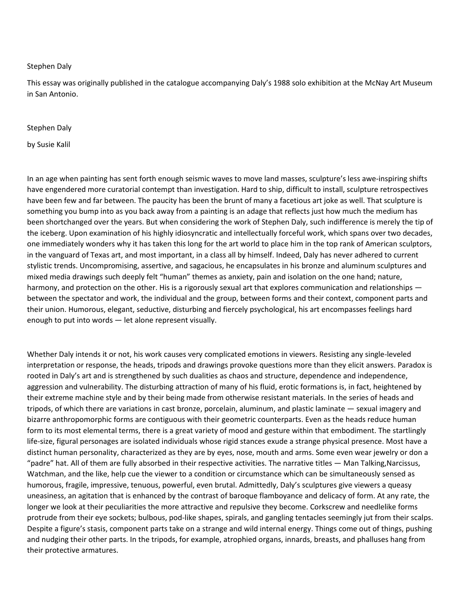## Stephen Daly

This essay was originally published in the catalogue accompanying Daly's 1988 solo exhibition at the McNay Art Museum in San Antonio.

## Stephen Daly

by Susie Kalil

In an age when painting has sent forth enough seismic waves to move land masses, sculpture's less awe-inspiring shifts have engendered more curatorial contempt than investigation. Hard to ship, difficult to install, sculpture retrospectives have been few and far between. The paucity has been the brunt of many a facetious art joke as well. That sculpture is something you bump into as you back away from a painting is an adage that reflects just how much the medium has been shortchanged over the years. But when considering the work of Stephen Daly, such indifference is merely the tip of the iceberg. Upon examination of his highly idiosyncratic and intellectually forceful work, which spans over two decades, one immediately wonders why it has taken this long for the art world to place him in the top rank of American sculptors, in the vanguard of Texas art, and most important, in a class all by himself. Indeed, Daly has never adhered to current stylistic trends. Uncompromising, assertive, and sagacious, he encapsulates in his bronze and aluminum sculptures and mixed media drawings such deeply felt "human" themes as anxiety, pain and isolation on the one hand; nature, harmony, and protection on the other. His is a rigorously sexual art that explores communication and relationships between the spectator and work, the individual and the group, between forms and their context, component parts and their union. Humorous, elegant, seductive, disturbing and fiercely psychological, his art encompasses feelings hard enough to put into words — let alone represent visually.

Whether Daly intends it or not, his work causes very complicated emotions in viewers. Resisting any single-leveled interpretation or response, the heads, tripods and drawings provoke questions more than they elicit answers. Paradox is rooted in Daly's art and is strengthened by such dualities as chaos and structure, dependence and independence, aggression and vulnerability. The disturbing attraction of many of his fluid, erotic formations is, in fact, heightened by their extreme machine style and by their being made from otherwise resistant materials. In the series of heads and tripods, of which there are variations in cast bronze, porcelain, aluminum, and plastic laminate — sexual imagery and bizarre anthropomorphic forms are contiguous with their geometric counterparts. Even as the heads reduce human form to its most elemental terms, there is a great variety of mood and gesture within that embodiment. The startlingly life-size, figural personages are isolated individuals whose rigid stances exude a strange physical presence. Most have a distinct human personality, characterized as they are by eyes, nose, mouth and arms. Some even wear jewelry or don a "padre" hat. All of them are fully absorbed in their respective activities. The narrative titles — Man Talking,Narcissus, Watchman, and the like, help cue the viewer to a condition or circumstance which can be simultaneously sensed as humorous, fragile, impressive, tenuous, powerful, even brutal. Admittedly, Daly's sculptures give viewers a queasy uneasiness, an agitation that is enhanced by the contrast of baroque flamboyance and delicacy of form. At any rate, the longer we look at their peculiarities the more attractive and repulsive they become. Corkscrew and needlelike forms protrude from their eye sockets; bulbous, pod-like shapes, spirals, and gangling tentacles seemingly jut from their scalps. Despite a figure's stasis, component parts take on a strange and wild internal energy. Things come out of things, pushing and nudging their other parts. In the tripods, for example, atrophied organs, innards, breasts, and phalluses hang from their protective armatures.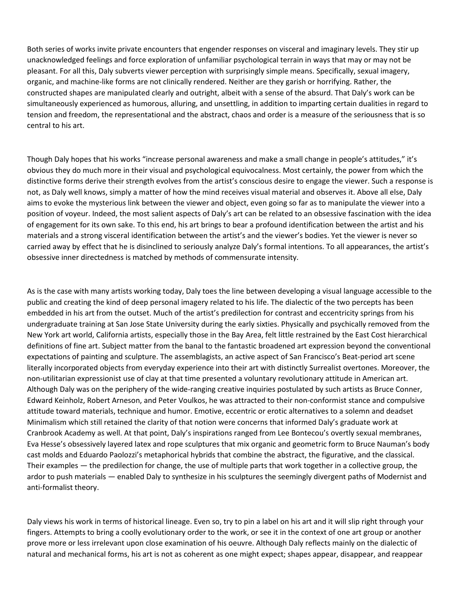Both series of works invite private encounters that engender responses on visceral and imaginary levels. They stir up unacknowledged feelings and force exploration of unfamiliar psychological terrain in ways that may or may not be pleasant. For all this, Daly subverts viewer perception with surprisingly simple means. Specifically, sexual imagery, organic, and machine-like forms are not clinically rendered. Neither are they garish or horrifying. Rather, the constructed shapes are manipulated clearly and outright, albeit with a sense of the absurd. That Daly's work can be simultaneously experienced as humorous, alluring, and unsettling, in addition to imparting certain dualities in regard to tension and freedom, the representational and the abstract, chaos and order is a measure of the seriousness that is so central to his art.

Though Daly hopes that his works "increase personal awareness and make a small change in people's attitudes," it's obvious they do much more in their visual and psychological equivocalness. Most certainly, the power from which the distinctive forms derive their strength evolves from the artist's conscious desire to engage the viewer. Such a response is not, as Daly well knows, simply a matter of how the mind receives visual material and observes it. Above all else, Daly aims to evoke the mysterious link between the viewer and object, even going so far as to manipulate the viewer into a position of voyeur. Indeed, the most salient aspects of Daly's art can be related to an obsessive fascination with the idea of engagement for its own sake. To this end, his art brings to bear a profound identification between the artist and his materials and a strong visceral identification between the artist's and the viewer's bodies. Yet the viewer is never so carried away by effect that he is disinclined to seriously analyze Daly's formal intentions. To all appearances, the artist's obsessive inner directedness is matched by methods of commensurate intensity.

As is the case with many artists working today, Daly toes the line between developing a visual language accessible to the public and creating the kind of deep personal imagery related to his life. The dialectic of the two percepts has been embedded in his art from the outset. Much of the artist's predilection for contrast and eccentricity springs from his undergraduate training at San Jose State University during the early sixties. Physically and psychically removed from the New York art world, California artists, especially those in the Bay Area, felt little restrained by the East Cost hierarchical definitions of fine art. Subject matter from the banal to the fantastic broadened art expression beyond the conventional expectations of painting and sculpture. The assemblagists, an active aspect of San Francisco's Beat-period art scene literally incorporated objects from everyday experience into their art with distinctly Surrealist overtones. Moreover, the non-utilitarian expressionist use of clay at that time presented a voluntary revolutionary attitude in American art. Although Daly was on the periphery of the wide-ranging creative inquiries postulated by such artists as Bruce Conner, Edward Keinholz, Robert Arneson, and Peter Voulkos, he was attracted to their non-conformist stance and compulsive attitude toward materials, technique and humor. Emotive, eccentric or erotic alternatives to a solemn and deadset Minimalism which still retained the clarity of that notion were concerns that informed Daly's graduate work at Cranbrook Academy as well. At that point, Daly's inspirations ranged from Lee Bontecou's overtly sexual membranes, Eva Hesse's obsessively layered latex and rope sculptures that mix organic and geometric form to Bruce Nauman's body cast molds and Eduardo Paolozzi's metaphorical hybrids that combine the abstract, the figurative, and the classical. Their examples — the predilection for change, the use of multiple parts that work together in a collective group, the ardor to push materials — enabled Daly to synthesize in his sculptures the seemingly divergent paths of Modernist and anti-formalist theory.

Daly views his work in terms of historical lineage. Even so, try to pin a label on his art and it will slip right through your fingers. Attempts to bring a coolly evolutionary order to the work, or see it in the context of one art group or another prove more or less irrelevant upon close examination of his oeuvre. Although Daly reflects mainly on the dialectic of natural and mechanical forms, his art is not as coherent as one might expect; shapes appear, disappear, and reappear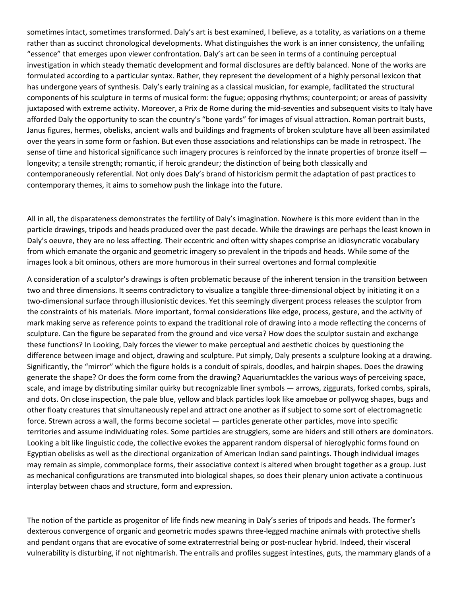sometimes intact, sometimes transformed. Daly's art is best examined, I believe, as a totality, as variations on a theme rather than as succinct chronological developments. What distinguishes the work is an inner consistency, the unfailing "essence" that emerges upon viewer confrontation. Daly's art can be seen in terms of a continuing perceptual investigation in which steady thematic development and formal disclosures are deftly balanced. None of the works are formulated according to a particular syntax. Rather, they represent the development of a highly personal lexicon that has undergone years of synthesis. Daly's early training as a classical musician, for example, facilitated the structural components of his sculpture in terms of musical form: the fugue; opposing rhythms; counterpoint; or areas of passivity juxtaposed with extreme activity. Moreover, a Prix de Rome during the mid-seventies and subsequent visits to Italy have afforded Daly the opportunity to scan the country's "bone yards" for images of visual attraction. Roman portrait busts, Janus figures, hermes, obelisks, ancient walls and buildings and fragments of broken sculpture have all been assimilated over the years in some form or fashion. But even those associations and relationships can be made in retrospect. The sense of time and historical significance such imagery procures is reinforced by the innate properties of bronze itself longevity; a tensile strength; romantic, if heroic grandeur; the distinction of being both classically and contemporaneously referential. Not only does Daly's brand of historicism permit the adaptation of past practices to contemporary themes, it aims to somehow push the linkage into the future.

All in all, the disparateness demonstrates the fertility of Daly's imagination. Nowhere is this more evident than in the particle drawings, tripods and heads produced over the past decade. While the drawings are perhaps the least known in Daly's oeuvre, they are no less affecting. Their eccentric and often witty shapes comprise an idiosyncratic vocabulary from which emanate the organic and geometric imagery so prevalent in the tripods and heads. While some of the images look a bit ominous, others are more humorous in their surreal overtones and formal complexitie

A consideration of a sculptor's drawings is often problematic because of the inherent tension in the transition between two and three dimensions. It seems contradictory to visualize a tangible three-dimensional object by initiating it on a two-dimensional surface through illusionistic devices. Yet this seemingly divergent process releases the sculptor from the constraints of his materials. More important, formal considerations like edge, process, gesture, and the activity of mark making serve as reference points to expand the traditional role of drawing into a mode reflecting the concerns of sculpture. Can the figure be separated from the ground and vice versa? How does the sculptor sustain and exchange these functions? In Looking, Daly forces the viewer to make perceptual and aesthetic choices by questioning the difference between image and object, drawing and sculpture. Put simply, Daly presents a sculpture looking at a drawing. Significantly, the "mirror" which the figure holds is a conduit of spirals, doodles, and hairpin shapes. Does the drawing generate the shape? Or does the form come from the drawing? Aquariumtackles the various ways of perceiving space, scale, and image by distributing similar quirky but recognizable liner symbols — arrows, ziggurats, forked combs, spirals, and dots. On close inspection, the pale blue, yellow and black particles look like amoebae or pollywog shapes, bugs and other floaty creatures that simultaneously repel and attract one another as if subject to some sort of electromagnetic force. Strewn across a wall, the forms become societal — particles generate other particles, move into specific territories and assume individuating roles. Some particles are strugglers, some are hiders and still others are dominators. Looking a bit like linguistic code, the collective evokes the apparent random dispersal of hieroglyphic forms found on Egyptian obelisks as well as the directional organization of American Indian sand paintings. Though individual images may remain as simple, commonplace forms, their associative context is altered when brought together as a group. Just as mechanical configurations are transmuted into biological shapes, so does their plenary union activate a continuous interplay between chaos and structure, form and expression.

The notion of the particle as progenitor of life finds new meaning in Daly's series of tripods and heads. The former's dexterous convergence of organic and geometric modes spawns three-legged machine animals with protective shells and pendant organs that are evocative of some extraterrestrial being or post-nuclear hybrid. Indeed, their visceral vulnerability is disturbing, if not nightmarish. The entrails and profiles suggest intestines, guts, the mammary glands of a